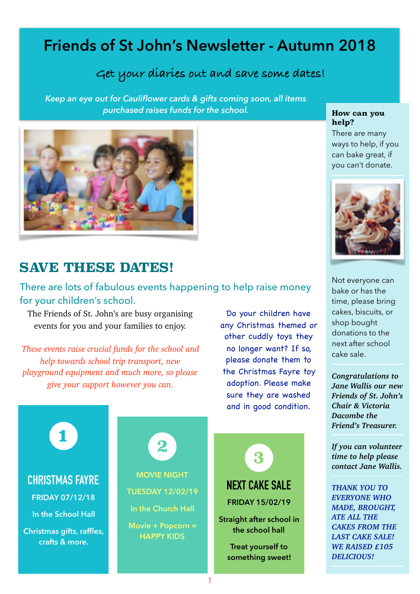# **Friends of St John's Newsletter - Autumn 2018**

# **Get your diaries out and save some dates!**

*Keep an eye out for Cauliflower cards & gifts coming soon, all items purchased raises funds for the school.*



# **SAVE THESE DATES!**

#### There are lots of fabulous events happening to help raise money for your children's school.

The Friends of St. John's are busy organising events for you and your families to enjoy.

*These events raise crucial funds for the school and help towards school trip transport, new playground equipment and much more, so please give your support however you can.* 

Do your children have any Christmas themed or other cuddly toys they no longer want? If so, please donate them to the Christmas Fayre toy adoption. Please make sure they are washed and in good condition.



#### **How can you help?**

There are many ways to help, if you can bake great, if you can't donate.



Not everyone can bake or has the time, please bring cakes, biscuits, or shop bought donations to the next after school cake sale.

*Congratulations to Jane Wallis our new Friends of St. John's Chair & Victoria Dacombe the Friend's Treasurer.* 

*If you can volunteer time to help please contact Jane Wallis.* 

*THANK YOU TO EVERYONE WHO MADE, BROUGHT, ATE ALL THE CAKES FROM THE LAST CAKE SALE! WE RAISED £105 DELICIOUS!*

**CHRISTMAS FAYRE** 

**1**

**FRIDAY 07/12/18** 

**In the School Hall**

**Christmas gifts, raffles, crafts & more.**

**MOVIE NIGHT TUESDAY 12/02/19 In the Church Hall Movie + Popcorn = HAPPY KIDS 2**